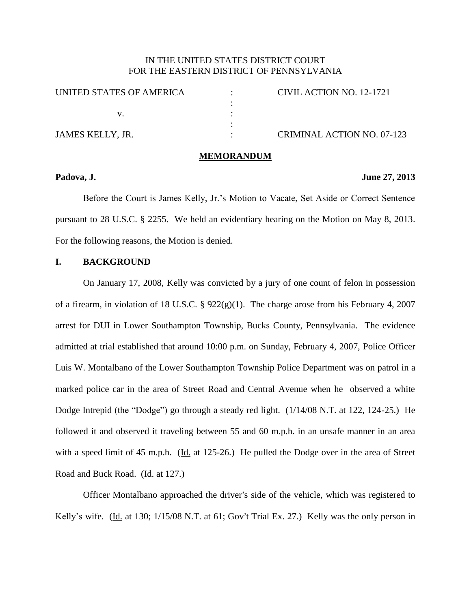# IN THE UNITED STATES DISTRICT COURT FOR THE EASTERN DISTRICT OF PENNSYLVANIA

| UNITED STATES OF AMERICA | CIVIL ACTION NO. 12-1721   |
|--------------------------|----------------------------|
|                          |                            |
|                          |                            |
|                          |                            |
| JAMES KELLY, JR.         | CRIMINAL ACTION NO. 07-123 |

**MEMORANDUM**

## **Padova, J. June 27, 2013**

Before the Court is James Kelly, Jr.'s Motion to Vacate, Set Aside or Correct Sentence pursuant to 28 U.S.C. § 2255. We held an evidentiary hearing on the Motion on May 8, 2013. For the following reasons, the Motion is denied.

## **I. BACKGROUND**

On January 17, 2008, Kelly was convicted by a jury of one count of felon in possession of a firearm, in violation of 18 U.S.C. §  $922(g)(1)$ . The charge arose from his February 4, 2007 arrest for DUI in Lower Southampton Township, Bucks County, Pennsylvania. The evidence admitted at trial established that around 10:00 p.m. on Sunday, February 4, 2007, Police Officer Luis W. Montalbano of the Lower Southampton Township Police Department was on patrol in a marked police car in the area of Street Road and Central Avenue when he observed a white Dodge Intrepid (the "Dodge") go through a steady red light. (1/14/08 N.T. at 122, 124-25.) He followed it and observed it traveling between 55 and 60 m.p.h. in an unsafe manner in an area with a speed limit of 45 m.p.h. (Id. at 125-26.) He pulled the Dodge over in the area of Street Road and Buck Road. (Id. at 127.)

Officer Montalbano approached the driver's side of the vehicle, which was registered to Kelly's wife. (Id. at 130;  $1/15/08$  N.T. at 61; Gov't Trial Ex. 27.) Kelly was the only person in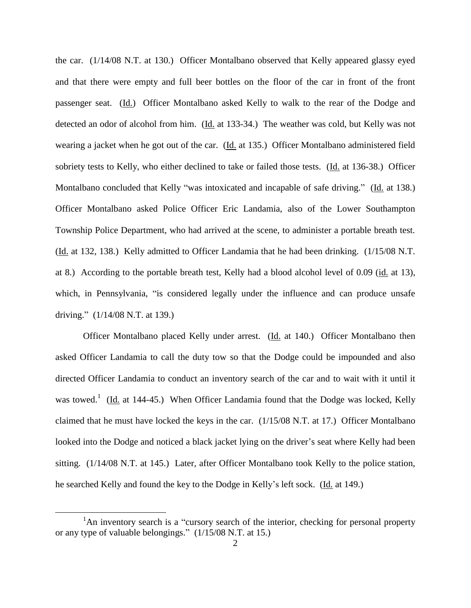the car. (1/14/08 N.T. at 130.) Officer Montalbano observed that Kelly appeared glassy eyed and that there were empty and full beer bottles on the floor of the car in front of the front passenger seat. (Id.) Officer Montalbano asked Kelly to walk to the rear of the Dodge and detected an odor of alcohol from him. (Id. at 133-34.) The weather was cold, but Kelly was not wearing a jacket when he got out of the car. (Id. at 135.) Officer Montalbano administered field sobriety tests to Kelly, who either declined to take or failed those tests. (Id. at 136-38.) Officer Montalbano concluded that Kelly "was intoxicated and incapable of safe driving." (Id. at 138.) Officer Montalbano asked Police Officer Eric Landamia, also of the Lower Southampton Township Police Department, who had arrived at the scene, to administer a portable breath test. (Id. at 132, 138.) Kelly admitted to Officer Landamia that he had been drinking. (1/15/08 N.T. at 8.) According to the portable breath test, Kelly had a blood alcohol level of 0.09 (id. at 13), which, in Pennsylvania, "is considered legally under the influence and can produce unsafe driving." (1/14/08 N.T. at 139.)

Officer Montalbano placed Kelly under arrest. (Id. at 140.) Officer Montalbano then asked Officer Landamia to call the duty tow so that the Dodge could be impounded and also directed Officer Landamia to conduct an inventory search of the car and to wait with it until it was towed.<sup>1</sup> (Id. at 144-45.) When Officer Landamia found that the Dodge was locked, Kelly claimed that he must have locked the keys in the car. (1/15/08 N.T. at 17.) Officer Montalbano looked into the Dodge and noticed a black jacket lying on the driver's seat where Kelly had been sitting. (1/14/08 N.T. at 145.) Later, after Officer Montalbano took Kelly to the police station, he searched Kelly and found the key to the Dodge in Kelly's left sock. (Id. at 149.)

<sup>&</sup>lt;sup>1</sup>An inventory search is a "cursory search of the interior, checking for personal property or any type of valuable belongings." (1/15/08 N.T. at 15.)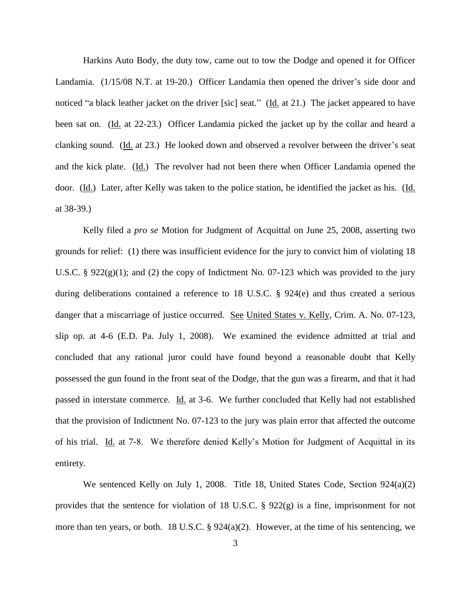Harkins Auto Body, the duty tow, came out to tow the Dodge and opened it for Officer Landamia. (1/15/08 N.T. at 19-20.) Officer Landamia then opened the driver's side door and noticed "a black leather jacket on the driver [sic] seat." (Id. at 21.) The jacket appeared to have been sat on. (Id. at 22-23.) Officer Landamia picked the jacket up by the collar and heard a clanking sound. (Id. at 23.) He looked down and observed a revolver between the driver's seat and the kick plate. (Id.) The revolver had not been there when Officer Landamia opened the door. (Id.) Later, after Kelly was taken to the police station, he identified the jacket as his. (Id. at 38-39.)

Kelly filed a *pro se* Motion for Judgment of Acquittal on June 25, 2008, asserting two grounds for relief: (1) there was insufficient evidence for the jury to convict him of violating 18 U.S.C. §  $922(g)(1)$ ; and (2) the copy of Indictment No. 07-123 which was provided to the jury during deliberations contained a reference to 18 U.S.C. § 924(e) and thus created a serious danger that a miscarriage of justice occurred. See United States v. Kelly, Crim. A. No. 07-123, slip op. at 4-6 (E.D. Pa. July 1, 2008). We examined the evidence admitted at trial and concluded that any rational juror could have found beyond a reasonable doubt that Kelly possessed the gun found in the front seat of the Dodge, that the gun was a firearm, and that it had passed in interstate commerce. Id. at 3-6. We further concluded that Kelly had not established that the provision of Indictment No. 07-123 to the jury was plain error that affected the outcome of his trial. Id. at 7-8. We therefore denied Kelly's Motion for Judgment of Acquittal in its entirety.

We sentenced Kelly on July 1, 2008. Title 18, United States Code, Section 924(a)(2) provides that the sentence for violation of 18 U.S.C. § 922(g) is a fine, imprisonment for not more than ten years, or both. 18 U.S.C. § 924(a)(2). However, at the time of his sentencing, we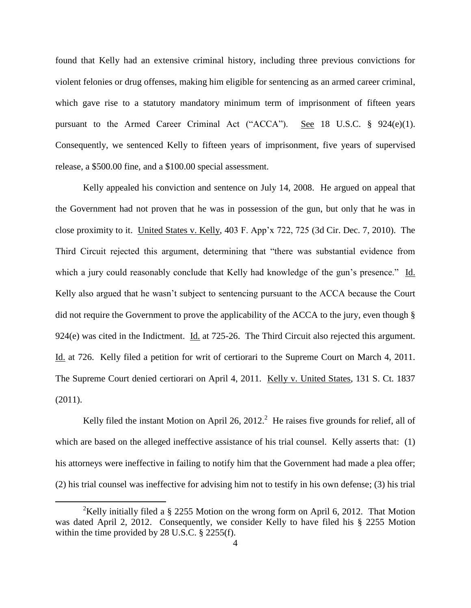found that Kelly had an extensive criminal history, including three previous convictions for violent felonies or drug offenses, making him eligible for sentencing as an armed career criminal, which gave rise to a statutory mandatory minimum term of imprisonment of fifteen years pursuant to the Armed Career Criminal Act ("ACCA"). See 18 U.S.C.  $\S$  924(e)(1). Consequently, we sentenced Kelly to fifteen years of imprisonment, five years of supervised release, a \$500.00 fine, and a \$100.00 special assessment.

Kelly appealed his conviction and sentence on July 14, 2008. He argued on appeal that the Government had not proven that he was in possession of the gun, but only that he was in close proximity to it. United States v. Kelly, 403 F. App'x 722, 725 (3d Cir. Dec. 7, 2010). The Third Circuit rejected this argument, determining that "there was substantial evidence from which a jury could reasonably conclude that Kelly had knowledge of the gun's presence." Id. Kelly also argued that he wasn't subject to sentencing pursuant to the ACCA because the Court did not require the Government to prove the applicability of the ACCA to the jury, even though § 924(e) was cited in the Indictment. Id. at 725-26. The Third Circuit also rejected this argument. Id. at 726. Kelly filed a petition for writ of certiorari to the Supreme Court on March 4, 2011. The Supreme Court denied certiorari on April 4, 2011. Kelly v. United States, 131 S. Ct. 1837 (2011).

Kelly filed the instant Motion on April 26, 2012.<sup>2</sup> He raises five grounds for relief, all of which are based on the alleged ineffective assistance of his trial counsel. Kelly asserts that: (1) his attorneys were ineffective in failing to notify him that the Government had made a plea offer; (2) his trial counsel was ineffective for advising him not to testify in his own defense; (3) his trial

<sup>&</sup>lt;sup>2</sup>Kelly initially filed a § 2255 Motion on the wrong form on April 6, 2012. That Motion was dated April 2, 2012. Consequently, we consider Kelly to have filed his § 2255 Motion within the time provided by 28 U.S.C. § 2255(f).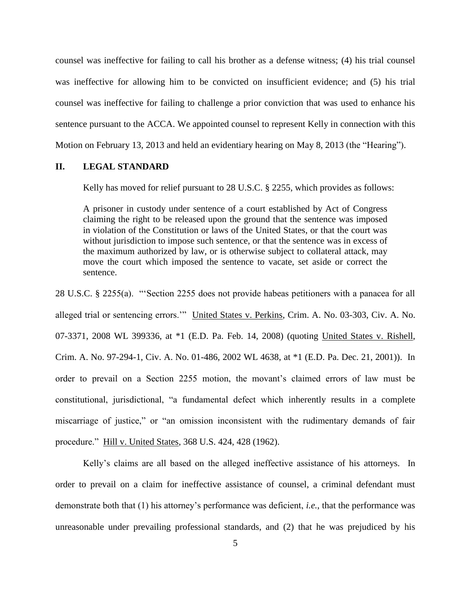counsel was ineffective for failing to call his brother as a defense witness; (4) his trial counsel was ineffective for allowing him to be convicted on insufficient evidence; and (5) his trial counsel was ineffective for failing to challenge a prior conviction that was used to enhance his sentence pursuant to the ACCA. We appointed counsel to represent Kelly in connection with this Motion on February 13, 2013 and held an evidentiary hearing on May 8, 2013 (the "Hearing").

## **II. LEGAL STANDARD**

Kelly has moved for relief pursuant to 28 U.S.C. § 2255, which provides as follows:

A prisoner in custody under sentence of a court established by Act of Congress claiming the right to be released upon the ground that the sentence was imposed in violation of the Constitution or laws of the United States, or that the court was without jurisdiction to impose such sentence, or that the sentence was in excess of the maximum authorized by law, or is otherwise subject to collateral attack, may move the court which imposed the sentence to vacate, set aside or correct the sentence.

28 U.S.C. § 2255(a). "'Section 2255 does not provide habeas petitioners with a panacea for all alleged trial or sentencing errors.'" United States v. Perkins, Crim. A. No. 03-303, Civ. A. No. 07-3371, 2008 WL 399336, at \*1 (E.D. Pa. Feb. 14, 2008) (quoting United States v. Rishell, Crim. A. No. 97-294-1, Civ. A. No. 01-486, 2002 WL 4638, at \*1 (E.D. Pa. Dec. 21, 2001)). In order to prevail on a Section 2255 motion, the movant's claimed errors of law must be constitutional, jurisdictional, "a fundamental defect which inherently results in a complete miscarriage of justice," or "an omission inconsistent with the rudimentary demands of fair procedure." Hill v. United States, 368 U.S. 424, 428 (1962).

Kelly's claims are all based on the alleged ineffective assistance of his attorneys. In order to prevail on a claim for ineffective assistance of counsel, a criminal defendant must demonstrate both that (1) his attorney's performance was deficient, *i.e.*, that the performance was unreasonable under prevailing professional standards, and (2) that he was prejudiced by his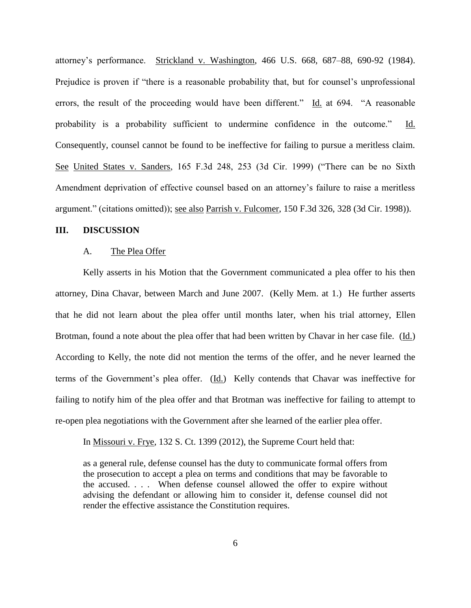attorney's performance. Strickland v. Washington, 466 U.S. 668, 687–88, 690-92 (1984). Prejudice is proven if "there is a reasonable probability that, but for counsel's unprofessional errors, the result of the proceeding would have been different." Id. at 694. "A reasonable probability is a probability sufficient to undermine confidence in the outcome." Id. Consequently, counsel cannot be found to be ineffective for failing to pursue a meritless claim. See United States v. Sanders, 165 F.3d 248, 253 (3d Cir. 1999) ("There can be no Sixth Amendment deprivation of effective counsel based on an attorney's failure to raise a meritless argument." (citations omitted)); see also Parrish v. Fulcomer, 150 F.3d 326, 328 (3d Cir. 1998)).

#### **III. DISCUSSION**

#### A. The Plea Offer

Kelly asserts in his Motion that the Government communicated a plea offer to his then attorney, Dina Chavar, between March and June 2007. (Kelly Mem. at 1.) He further asserts that he did not learn about the plea offer until months later, when his trial attorney, Ellen Brotman, found a note about the plea offer that had been written by Chavar in her case file. (Id.) According to Kelly, the note did not mention the terms of the offer, and he never learned the terms of the Government's plea offer. (Id.) Kelly contends that Chavar was ineffective for failing to notify him of the plea offer and that Brotman was ineffective for failing to attempt to re-open plea negotiations with the Government after she learned of the earlier plea offer.

In Missouri v. Frye, 132 S. Ct. 1399 (2012), the Supreme Court held that:

as a general rule, defense counsel has the duty to communicate formal offers from the prosecution to accept a plea on terms and conditions that may be favorable to the accused. . . . When defense counsel allowed the offer to expire without advising the defendant or allowing him to consider it, defense counsel did not render the effective assistance the Constitution requires.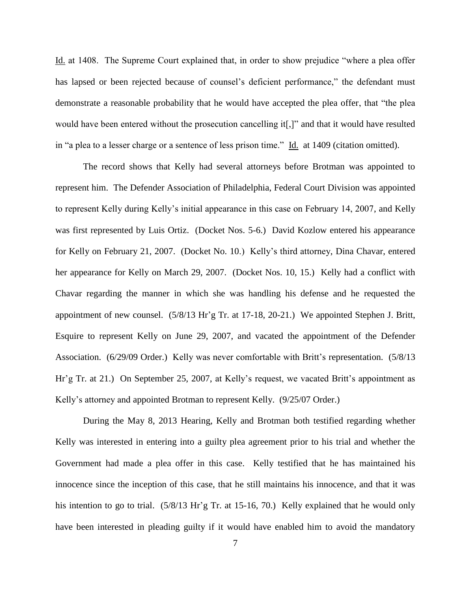Id. at 1408. The Supreme Court explained that, in order to show prejudice "where a plea offer has lapsed or been rejected because of counsel's deficient performance," the defendant must demonstrate a reasonable probability that he would have accepted the plea offer, that "the plea would have been entered without the prosecution cancelling it[,]" and that it would have resulted in "a plea to a lesser charge or a sentence of less prison time." Id. at 1409 (citation omitted).

The record shows that Kelly had several attorneys before Brotman was appointed to represent him. The Defender Association of Philadelphia, Federal Court Division was appointed to represent Kelly during Kelly's initial appearance in this case on February 14, 2007, and Kelly was first represented by Luis Ortiz. (Docket Nos. 5-6.) David Kozlow entered his appearance for Kelly on February 21, 2007. (Docket No. 10.) Kelly's third attorney, Dina Chavar, entered her appearance for Kelly on March 29, 2007. (Docket Nos. 10, 15.) Kelly had a conflict with Chavar regarding the manner in which she was handling his defense and he requested the appointment of new counsel. (5/8/13 Hr'g Tr. at 17-18, 20-21.) We appointed Stephen J. Britt, Esquire to represent Kelly on June 29, 2007, and vacated the appointment of the Defender Association. (6/29/09 Order.) Kelly was never comfortable with Britt's representation. (5/8/13 Hr'g Tr. at 21.) On September 25, 2007, at Kelly's request, we vacated Britt's appointment as Kelly's attorney and appointed Brotman to represent Kelly. (9/25/07 Order.)

During the May 8, 2013 Hearing, Kelly and Brotman both testified regarding whether Kelly was interested in entering into a guilty plea agreement prior to his trial and whether the Government had made a plea offer in this case. Kelly testified that he has maintained his innocence since the inception of this case, that he still maintains his innocence, and that it was his intention to go to trial. (5/8/13 Hr'g Tr. at 15-16, 70.) Kelly explained that he would only have been interested in pleading guilty if it would have enabled him to avoid the mandatory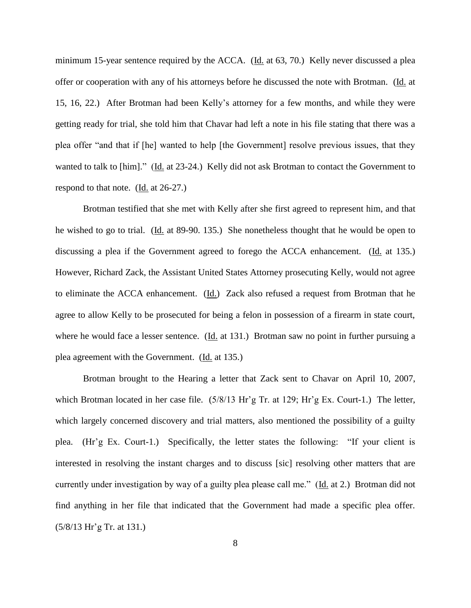minimum 15-year sentence required by the ACCA. (Id. at 63, 70.) Kelly never discussed a plea offer or cooperation with any of his attorneys before he discussed the note with Brotman. (Id. at 15, 16, 22.) After Brotman had been Kelly's attorney for a few months, and while they were getting ready for trial, she told him that Chavar had left a note in his file stating that there was a plea offer "and that if [he] wanted to help [the Government] resolve previous issues, that they wanted to talk to [him]." (Id. at 23-24.) Kelly did not ask Brotman to contact the Government to respond to that note. (Id. at 26-27.)

Brotman testified that she met with Kelly after she first agreed to represent him, and that he wished to go to trial. (Id. at 89-90. 135.) She nonetheless thought that he would be open to discussing a plea if the Government agreed to forego the ACCA enhancement. (Id. at 135.) However, Richard Zack, the Assistant United States Attorney prosecuting Kelly, would not agree to eliminate the ACCA enhancement. (Id.) Zack also refused a request from Brotman that he agree to allow Kelly to be prosecuted for being a felon in possession of a firearm in state court, where he would face a lesser sentence. (Id. at 131.) Brotman saw no point in further pursuing a plea agreement with the Government. (Id. at 135.)

Brotman brought to the Hearing a letter that Zack sent to Chavar on April 10, 2007, which Brotman located in her case file. (5/8/13 Hr'g Tr. at 129; Hr'g Ex. Court-1.) The letter, which largely concerned discovery and trial matters, also mentioned the possibility of a guilty plea. (Hr'g Ex. Court-1.) Specifically, the letter states the following: "If your client is interested in resolving the instant charges and to discuss [sic] resolving other matters that are currently under investigation by way of a guilty plea please call me." (Id. at 2.) Brotman did not find anything in her file that indicated that the Government had made a specific plea offer. (5/8/13 Hr'g Tr. at 131.)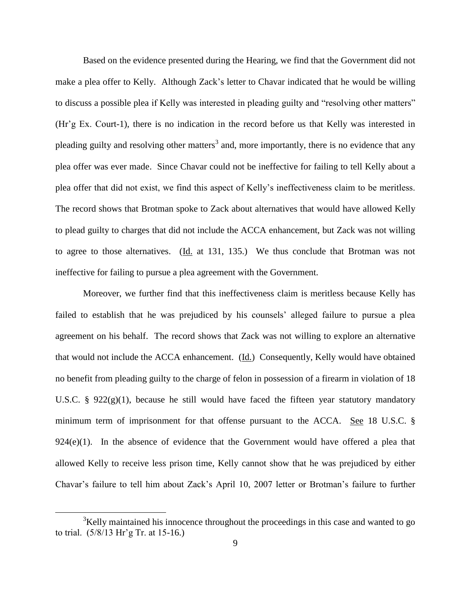Based on the evidence presented during the Hearing, we find that the Government did not make a plea offer to Kelly. Although Zack's letter to Chavar indicated that he would be willing to discuss a possible plea if Kelly was interested in pleading guilty and "resolving other matters" (Hr'g Ex. Court-1), there is no indication in the record before us that Kelly was interested in pleading guilty and resolving other matters<sup>3</sup> and, more importantly, there is no evidence that any plea offer was ever made. Since Chavar could not be ineffective for failing to tell Kelly about a plea offer that did not exist, we find this aspect of Kelly's ineffectiveness claim to be meritless. The record shows that Brotman spoke to Zack about alternatives that would have allowed Kelly to plead guilty to charges that did not include the ACCA enhancement, but Zack was not willing to agree to those alternatives. (Id. at 131, 135.) We thus conclude that Brotman was not ineffective for failing to pursue a plea agreement with the Government.

Moreover, we further find that this ineffectiveness claim is meritless because Kelly has failed to establish that he was prejudiced by his counsels' alleged failure to pursue a plea agreement on his behalf. The record shows that Zack was not willing to explore an alternative that would not include the ACCA enhancement. (Id.) Consequently, Kelly would have obtained no benefit from pleading guilty to the charge of felon in possession of a firearm in violation of 18 U.S.C. §  $922(g)(1)$ , because he still would have faced the fifteen year statutory mandatory minimum term of imprisonment for that offense pursuant to the ACCA. See 18 U.S.C. §  $924(e)(1)$ . In the absence of evidence that the Government would have offered a plea that allowed Kelly to receive less prison time, Kelly cannot show that he was prejudiced by either Chavar's failure to tell him about Zack's April 10, 2007 letter or Brotman's failure to further

 $3$ Kelly maintained his innocence throughout the proceedings in this case and wanted to go to trial. (5/8/13 Hr'g Tr. at 15-16.)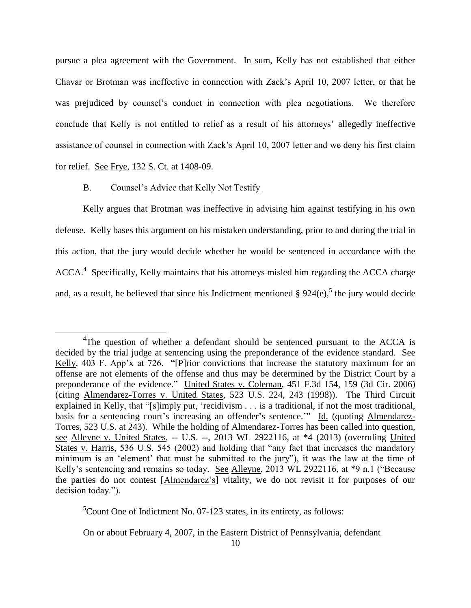pursue a plea agreement with the Government. In sum, Kelly has not established that either Chavar or Brotman was ineffective in connection with Zack's April 10, 2007 letter, or that he was prejudiced by counsel's conduct in connection with plea negotiations. We therefore conclude that Kelly is not entitled to relief as a result of his attorneys' allegedly ineffective assistance of counsel in connection with Zack's April 10, 2007 letter and we deny his first claim for relief. See Frye, 132 S. Ct. at 1408-09.

#### B. Counsel's Advice that Kelly Not Testify

 $\overline{a}$ 

Kelly argues that Brotman was ineffective in advising him against testifying in his own defense. Kelly bases this argument on his mistaken understanding, prior to and during the trial in this action, that the jury would decide whether he would be sentenced in accordance with the ACCA.<sup>4</sup> Specifically, Kelly maintains that his attorneys misled him regarding the ACCA charge and, as a result, he believed that since his Indictment mentioned  $\S 924(e)$ , the jury would decide

 ${}^5$ Count One of Indictment No. 07-123 states, in its entirety, as follows:

On or about February 4, 2007, in the Eastern District of Pennsylvania, defendant

<sup>&</sup>lt;sup>4</sup>The question of whether a defendant should be sentenced pursuant to the ACCA is decided by the trial judge at sentencing using the preponderance of the evidence standard. See Kelly, 403 F. App'x at 726. "[P]rior convictions that increase the statutory maximum for an offense are not elements of the offense and thus may be determined by the District Court by a preponderance of the evidence." United States v. Coleman, 451 F.3d 154, 159 (3d Cir. 2006) (citing Almendarez-Torres v. United States, 523 U.S. 224, 243 (1998)). The Third Circuit explained in Kelly, that "[s]imply put, 'recidivism . . . is a traditional, if not the most traditional, basis for a sentencing court's increasing an offender's sentence.'" Id. (quoting Almendarez-Torres, 523 U.S. at 243). While the holding of Almendarez-Torres has been called into question, see Alleyne v. United States, -- U.S. --, 2013 WL 2922116, at \*4 (2013) (overruling United States v. Harris, 536 U.S. 545 (2002) and holding that "any fact that increases the mandatory minimum is an 'element' that must be submitted to the jury"), it was the law at the time of Kelly's sentencing and remains so today. See Alleyne, 2013 WL 2922116, at \*9 n.1 ("Because the parties do not contest [Almendarez's] vitality, we do not revisit it for purposes of our decision today.").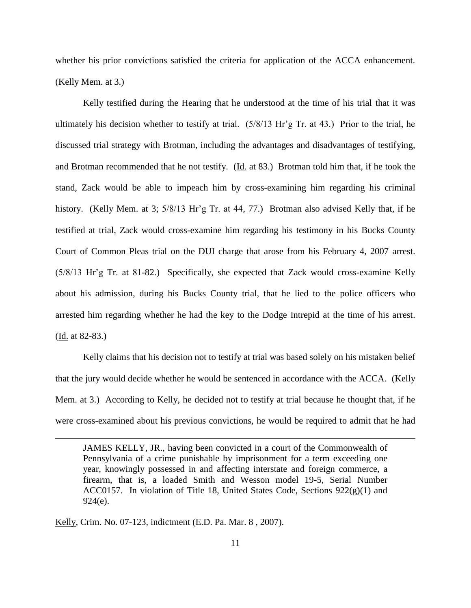whether his prior convictions satisfied the criteria for application of the ACCA enhancement. (Kelly Mem. at 3.)

Kelly testified during the Hearing that he understood at the time of his trial that it was ultimately his decision whether to testify at trial. (5/8/13 Hr'g Tr. at 43.) Prior to the trial, he discussed trial strategy with Brotman, including the advantages and disadvantages of testifying, and Brotman recommended that he not testify. (Id. at 83.) Brotman told him that, if he took the stand, Zack would be able to impeach him by cross-examining him regarding his criminal history. (Kelly Mem. at 3;  $5/8/13$  Hr'g Tr. at 44, 77.) Brotman also advised Kelly that, if he testified at trial, Zack would cross-examine him regarding his testimony in his Bucks County Court of Common Pleas trial on the DUI charge that arose from his February 4, 2007 arrest. (5/8/13 Hr'g Tr. at 81-82.) Specifically, she expected that Zack would cross-examine Kelly about his admission, during his Bucks County trial, that he lied to the police officers who arrested him regarding whether he had the key to the Dodge Intrepid at the time of his arrest. (Id. at 82-83.)

Kelly claims that his decision not to testify at trial was based solely on his mistaken belief that the jury would decide whether he would be sentenced in accordance with the ACCA. (Kelly Mem. at 3.) According to Kelly, he decided not to testify at trial because he thought that, if he were cross-examined about his previous convictions, he would be required to admit that he had

JAMES KELLY, JR., having been convicted in a court of the Commonwealth of Pennsylvania of a crime punishable by imprisonment for a term exceeding one year, knowingly possessed in and affecting interstate and foreign commerce, a firearm, that is, a loaded Smith and Wesson model 19-5, Serial Number ACC0157. In violation of Title 18, United States Code, Sections  $922(g)(1)$  and 924(e).

Kelly, Crim. No. 07-123, indictment (E.D. Pa. Mar. 8 , 2007).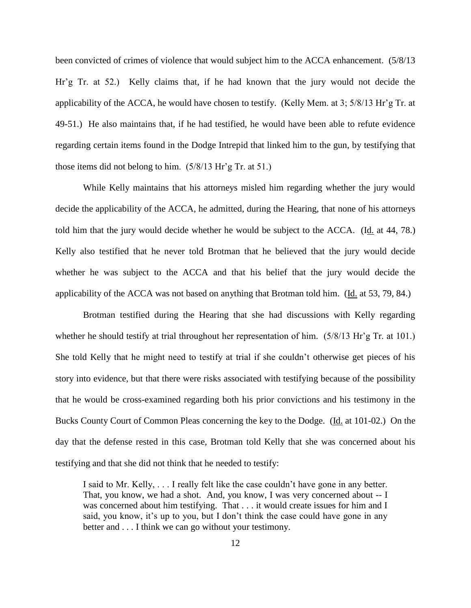been convicted of crimes of violence that would subject him to the ACCA enhancement. (5/8/13 Hr'g Tr. at 52.) Kelly claims that, if he had known that the jury would not decide the applicability of the ACCA, he would have chosen to testify. (Kelly Mem. at 3; 5/8/13 Hr'g Tr. at 49-51.) He also maintains that, if he had testified, he would have been able to refute evidence regarding certain items found in the Dodge Intrepid that linked him to the gun, by testifying that those items did not belong to him. (5/8/13 Hr'g Tr. at 51.)

While Kelly maintains that his attorneys misled him regarding whether the jury would decide the applicability of the ACCA, he admitted, during the Hearing, that none of his attorneys told him that the jury would decide whether he would be subject to the ACCA. (Id. at 44, 78.) Kelly also testified that he never told Brotman that he believed that the jury would decide whether he was subject to the ACCA and that his belief that the jury would decide the applicability of the ACCA was not based on anything that Brotman told him. (Id. at 53, 79, 84.)

Brotman testified during the Hearing that she had discussions with Kelly regarding whether he should testify at trial throughout her representation of him. (5/8/13 Hr'g Tr. at 101.) She told Kelly that he might need to testify at trial if she couldn't otherwise get pieces of his story into evidence, but that there were risks associated with testifying because of the possibility that he would be cross-examined regarding both his prior convictions and his testimony in the Bucks County Court of Common Pleas concerning the key to the Dodge. (Id. at 101-02.) On the day that the defense rested in this case, Brotman told Kelly that she was concerned about his testifying and that she did not think that he needed to testify:

I said to Mr. Kelly, . . . I really felt like the case couldn't have gone in any better. That, you know, we had a shot. And, you know, I was very concerned about -- I was concerned about him testifying. That . . . it would create issues for him and I said, you know, it's up to you, but I don't think the case could have gone in any better and . . . I think we can go without your testimony.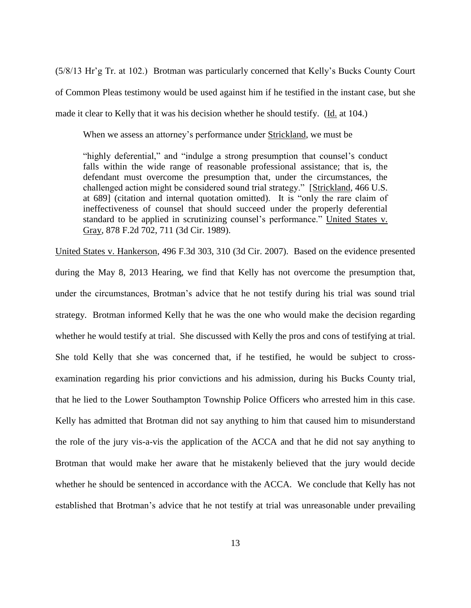(5/8/13 Hr'g Tr. at 102.) Brotman was particularly concerned that Kelly's Bucks County Court of Common Pleas testimony would be used against him if he testified in the instant case, but she made it clear to Kelly that it was his decision whether he should testify. (Id. at 104.)

When we assess an attorney's performance under Strickland, we must be

"highly deferential," and "indulge a strong presumption that counsel's conduct falls within the wide range of reasonable professional assistance; that is, the defendant must overcome the presumption that, under the circumstances, the challenged action might be considered sound trial strategy." [Strickland, 466 U.S. at 689] (citation and internal quotation omitted). It is "only the rare claim of ineffectiveness of counsel that should succeed under the properly deferential standard to be applied in scrutinizing counsel's performance." United States v. Gray, 878 F.2d 702, 711 (3d Cir. 1989).

United States v. Hankerson, 496 F.3d 303, 310 (3d Cir. 2007). Based on the evidence presented during the May 8, 2013 Hearing, we find that Kelly has not overcome the presumption that, under the circumstances, Brotman's advice that he not testify during his trial was sound trial strategy. Brotman informed Kelly that he was the one who would make the decision regarding whether he would testify at trial. She discussed with Kelly the pros and cons of testifying at trial. She told Kelly that she was concerned that, if he testified, he would be subject to crossexamination regarding his prior convictions and his admission, during his Bucks County trial, that he lied to the Lower Southampton Township Police Officers who arrested him in this case. Kelly has admitted that Brotman did not say anything to him that caused him to misunderstand the role of the jury vis-a-vis the application of the ACCA and that he did not say anything to Brotman that would make her aware that he mistakenly believed that the jury would decide whether he should be sentenced in accordance with the ACCA. We conclude that Kelly has not established that Brotman's advice that he not testify at trial was unreasonable under prevailing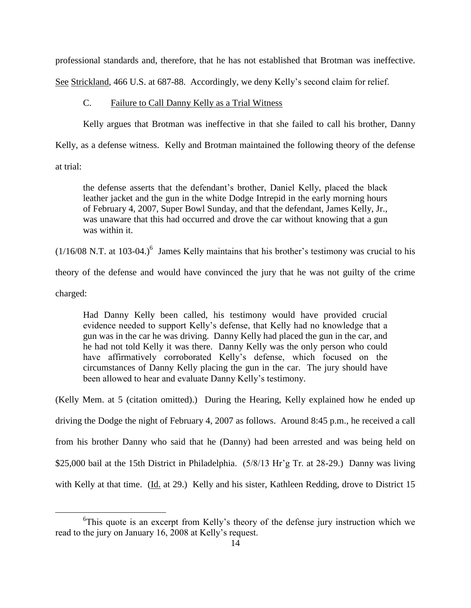professional standards and, therefore, that he has not established that Brotman was ineffective.

See Strickland, 466 U.S. at 687-88. Accordingly, we deny Kelly's second claim for relief.

## C. Failure to Call Danny Kelly as a Trial Witness

Kelly argues that Brotman was ineffective in that she failed to call his brother, Danny

Kelly, as a defense witness. Kelly and Brotman maintained the following theory of the defense

at trial:

the defense asserts that the defendant's brother, Daniel Kelly, placed the black leather jacket and the gun in the white Dodge Intrepid in the early morning hours of February 4, 2007, Super Bowl Sunday, and that the defendant, James Kelly, Jr., was unaware that this had occurred and drove the car without knowing that a gun was within it.

 $(1/16/08 \text{ N.T. at } 103-04.)$ <sup>6</sup> James Kelly maintains that his brother's testimony was crucial to his

theory of the defense and would have convinced the jury that he was not guilty of the crime

charged:

 $\overline{a}$ 

Had Danny Kelly been called, his testimony would have provided crucial evidence needed to support Kelly's defense, that Kelly had no knowledge that a gun was in the car he was driving. Danny Kelly had placed the gun in the car, and he had not told Kelly it was there. Danny Kelly was the only person who could have affirmatively corroborated Kelly's defense, which focused on the circumstances of Danny Kelly placing the gun in the car. The jury should have been allowed to hear and evaluate Danny Kelly's testimony.

(Kelly Mem. at 5 (citation omitted).) During the Hearing, Kelly explained how he ended up driving the Dodge the night of February 4, 2007 as follows. Around 8:45 p.m., he received a call from his brother Danny who said that he (Danny) had been arrested and was being held on \$25,000 bail at the 15th District in Philadelphia. (5/8/13 Hr'g Tr. at 28-29.) Danny was living with Kelly at that time. (Id. at 29.) Kelly and his sister, Kathleen Redding, drove to District 15

<sup>&</sup>lt;sup>6</sup>This quote is an excerpt from Kelly's theory of the defense jury instruction which we read to the jury on January 16, 2008 at Kelly's request.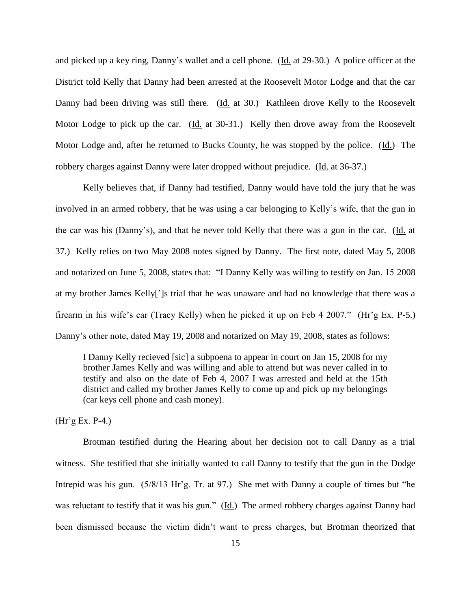and picked up a key ring, Danny's wallet and a cell phone. (Id. at 29-30.) A police officer at the District told Kelly that Danny had been arrested at the Roosevelt Motor Lodge and that the car Danny had been driving was still there. (Id. at 30.) Kathleen drove Kelly to the Roosevelt Motor Lodge to pick up the car. (Id. at 30-31.) Kelly then drove away from the Roosevelt Motor Lodge and, after he returned to Bucks County, he was stopped by the police. (Id.) The robbery charges against Danny were later dropped without prejudice. (Id. at 36-37.)

Kelly believes that, if Danny had testified, Danny would have told the jury that he was involved in an armed robbery, that he was using a car belonging to Kelly's wife, that the gun in the car was his (Danny's), and that he never told Kelly that there was a gun in the car. (Id. at 37.) Kelly relies on two May 2008 notes signed by Danny. The first note, dated May 5, 2008 and notarized on June 5, 2008, states that: "I Danny Kelly was willing to testify on Jan. 15 2008 at my brother James Kelly[']s trial that he was unaware and had no knowledge that there was a firearm in his wife's car (Tracy Kelly) when he picked it up on Feb 4 2007." (Hr'g Ex. P-5.) Danny's other note, dated May 19, 2008 and notarized on May 19, 2008, states as follows:

I Danny Kelly recieved [sic] a subpoena to appear in court on Jan 15, 2008 for my brother James Kelly and was willing and able to attend but was never called in to testify and also on the date of Feb 4, 2007 I was arrested and held at the 15th district and called my brother James Kelly to come up and pick up my belongings (car keys cell phone and cash money).

(Hr'g Ex. P-4.)

Brotman testified during the Hearing about her decision not to call Danny as a trial witness. She testified that she initially wanted to call Danny to testify that the gun in the Dodge Intrepid was his gun. (5/8/13 Hr'g. Tr. at 97.) She met with Danny a couple of times but "he was reluctant to testify that it was his gun." (Id.) The armed robbery charges against Danny had been dismissed because the victim didn't want to press charges, but Brotman theorized that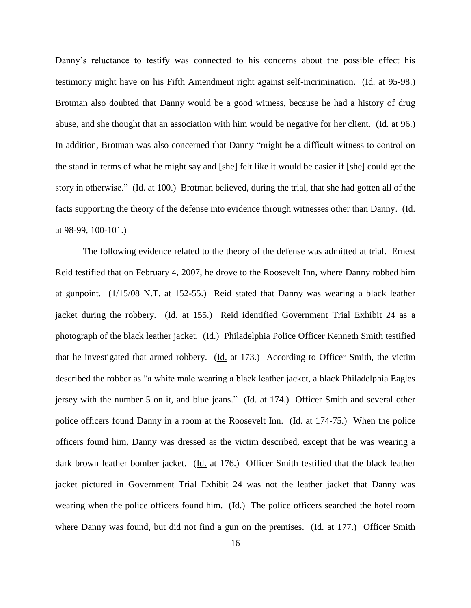Danny's reluctance to testify was connected to his concerns about the possible effect his testimony might have on his Fifth Amendment right against self-incrimination. (Id. at 95-98.) Brotman also doubted that Danny would be a good witness, because he had a history of drug abuse, and she thought that an association with him would be negative for her client. (Id. at 96.) In addition, Brotman was also concerned that Danny "might be a difficult witness to control on the stand in terms of what he might say and [she] felt like it would be easier if [she] could get the story in otherwise." (Id. at 100.) Brotman believed, during the trial, that she had gotten all of the facts supporting the theory of the defense into evidence through witnesses other than Danny. (Id. at 98-99, 100-101.)

The following evidence related to the theory of the defense was admitted at trial. Ernest Reid testified that on February 4, 2007, he drove to the Roosevelt Inn, where Danny robbed him at gunpoint. (1/15/08 N.T. at 152-55.) Reid stated that Danny was wearing a black leather jacket during the robbery. (Id. at 155.) Reid identified Government Trial Exhibit 24 as a photograph of the black leather jacket. (Id.) Philadelphia Police Officer Kenneth Smith testified that he investigated that armed robbery. (Id. at 173.) According to Officer Smith, the victim described the robber as "a white male wearing a black leather jacket, a black Philadelphia Eagles jersey with the number 5 on it, and blue jeans." (Id. at 174.) Officer Smith and several other police officers found Danny in a room at the Roosevelt Inn. (Id. at 174-75.) When the police officers found him, Danny was dressed as the victim described, except that he was wearing a dark brown leather bomber jacket. (Id. at 176.) Officer Smith testified that the black leather jacket pictured in Government Trial Exhibit 24 was not the leather jacket that Danny was wearing when the police officers found him. (Id.) The police officers searched the hotel room where Danny was found, but did not find a gun on the premises. (Id. at 177.) Officer Smith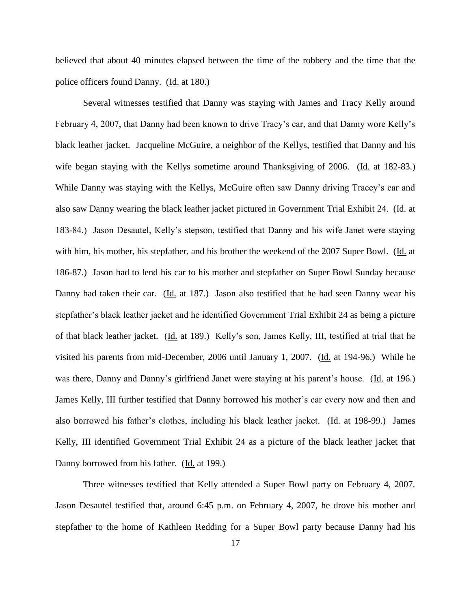believed that about 40 minutes elapsed between the time of the robbery and the time that the police officers found Danny. (Id. at 180.)

Several witnesses testified that Danny was staying with James and Tracy Kelly around February 4, 2007, that Danny had been known to drive Tracy's car, and that Danny wore Kelly's black leather jacket. Jacqueline McGuire, a neighbor of the Kellys, testified that Danny and his wife began staying with the Kellys sometime around Thanksgiving of 2006. (Id. at 182-83.) While Danny was staying with the Kellys, McGuire often saw Danny driving Tracey's car and also saw Danny wearing the black leather jacket pictured in Government Trial Exhibit 24. (Id. at 183-84.) Jason Desautel, Kelly's stepson, testified that Danny and his wife Janet were staying with him, his mother, his stepfather, and his brother the weekend of the 2007 Super Bowl. (Id. at 186-87.) Jason had to lend his car to his mother and stepfather on Super Bowl Sunday because Danny had taken their car. (Id. at 187.) Jason also testified that he had seen Danny wear his stepfather's black leather jacket and he identified Government Trial Exhibit 24 as being a picture of that black leather jacket. (Id. at 189.) Kelly's son, James Kelly, III, testified at trial that he visited his parents from mid-December, 2006 until January 1, 2007. (Id. at 194-96.) While he was there, Danny and Danny's girlfriend Janet were staying at his parent's house. (Id. at 196.) James Kelly, III further testified that Danny borrowed his mother's car every now and then and also borrowed his father's clothes, including his black leather jacket. (Id. at 198-99.) James Kelly, III identified Government Trial Exhibit 24 as a picture of the black leather jacket that Danny borrowed from his father. (Id. at 199.)

Three witnesses testified that Kelly attended a Super Bowl party on February 4, 2007. Jason Desautel testified that, around 6:45 p.m. on February 4, 2007, he drove his mother and stepfather to the home of Kathleen Redding for a Super Bowl party because Danny had his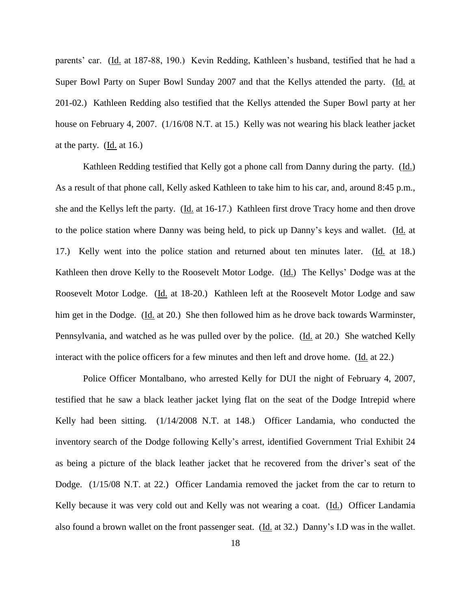parents' car. (Id. at 187-88, 190.) Kevin Redding, Kathleen's husband, testified that he had a Super Bowl Party on Super Bowl Sunday 2007 and that the Kellys attended the party. (Id. at 201-02.) Kathleen Redding also testified that the Kellys attended the Super Bowl party at her house on February 4, 2007. (1/16/08 N.T. at 15.) Kelly was not wearing his black leather jacket at the party. (Id. at 16.)

Kathleen Redding testified that Kelly got a phone call from Danny during the party. (Id.) As a result of that phone call, Kelly asked Kathleen to take him to his car, and, around 8:45 p.m., she and the Kellys left the party. (Id. at 16-17.) Kathleen first drove Tracy home and then drove to the police station where Danny was being held, to pick up Danny's keys and wallet. (Id. at 17.) Kelly went into the police station and returned about ten minutes later. (Id. at 18.) Kathleen then drove Kelly to the Roosevelt Motor Lodge. (Id.) The Kellys' Dodge was at the Roosevelt Motor Lodge. (Id. at 18-20.) Kathleen left at the Roosevelt Motor Lodge and saw him get in the Dodge. (Id. at 20.) She then followed him as he drove back towards Warminster, Pennsylvania, and watched as he was pulled over by the police. (Id. at 20.) She watched Kelly interact with the police officers for a few minutes and then left and drove home. (Id. at 22.)

Police Officer Montalbano, who arrested Kelly for DUI the night of February 4, 2007, testified that he saw a black leather jacket lying flat on the seat of the Dodge Intrepid where Kelly had been sitting. (1/14/2008 N.T. at 148.) Officer Landamia, who conducted the inventory search of the Dodge following Kelly's arrest, identified Government Trial Exhibit 24 as being a picture of the black leather jacket that he recovered from the driver's seat of the Dodge. (1/15/08 N.T. at 22.) Officer Landamia removed the jacket from the car to return to Kelly because it was very cold out and Kelly was not wearing a coat. (Id.) Officer Landamia also found a brown wallet on the front passenger seat. (Id. at 32.) Danny's I.D was in the wallet.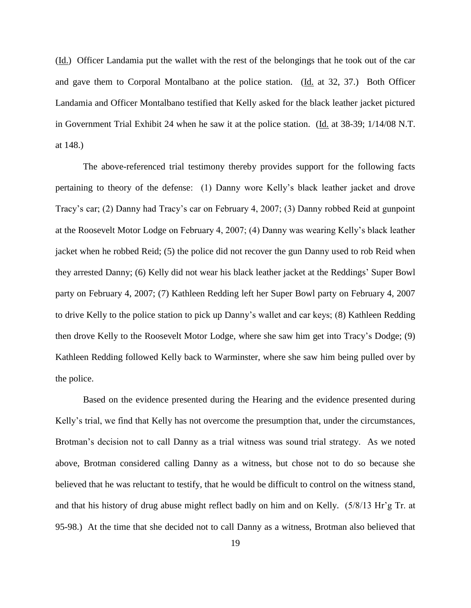(Id.) Officer Landamia put the wallet with the rest of the belongings that he took out of the car and gave them to Corporal Montalbano at the police station. (Id. at 32, 37.) Both Officer Landamia and Officer Montalbano testified that Kelly asked for the black leather jacket pictured in Government Trial Exhibit 24 when he saw it at the police station. (Id. at 38-39; 1/14/08 N.T. at 148.)

The above-referenced trial testimony thereby provides support for the following facts pertaining to theory of the defense: (1) Danny wore Kelly's black leather jacket and drove Tracy's car; (2) Danny had Tracy's car on February 4, 2007; (3) Danny robbed Reid at gunpoint at the Roosevelt Motor Lodge on February 4, 2007; (4) Danny was wearing Kelly's black leather jacket when he robbed Reid; (5) the police did not recover the gun Danny used to rob Reid when they arrested Danny; (6) Kelly did not wear his black leather jacket at the Reddings' Super Bowl party on February 4, 2007; (7) Kathleen Redding left her Super Bowl party on February 4, 2007 to drive Kelly to the police station to pick up Danny's wallet and car keys; (8) Kathleen Redding then drove Kelly to the Roosevelt Motor Lodge, where she saw him get into Tracy's Dodge; (9) Kathleen Redding followed Kelly back to Warminster, where she saw him being pulled over by the police.

Based on the evidence presented during the Hearing and the evidence presented during Kelly's trial, we find that Kelly has not overcome the presumption that, under the circumstances, Brotman's decision not to call Danny as a trial witness was sound trial strategy. As we noted above, Brotman considered calling Danny as a witness, but chose not to do so because she believed that he was reluctant to testify, that he would be difficult to control on the witness stand, and that his history of drug abuse might reflect badly on him and on Kelly. (5/8/13 Hr'g Tr. at 95-98.) At the time that she decided not to call Danny as a witness, Brotman also believed that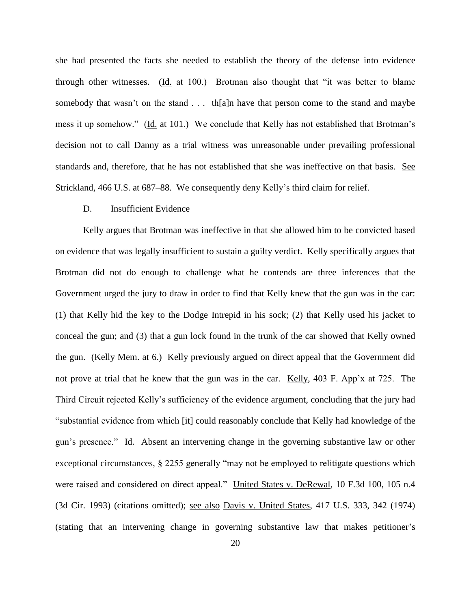she had presented the facts she needed to establish the theory of the defense into evidence through other witnesses. (Id. at 100.) Brotman also thought that "it was better to blame somebody that wasn't on the stand . . . th[a]n have that person come to the stand and maybe mess it up somehow." (Id. at 101.) We conclude that Kelly has not established that Brotman's decision not to call Danny as a trial witness was unreasonable under prevailing professional standards and, therefore, that he has not established that she was ineffective on that basis. See Strickland, 466 U.S. at 687–88. We consequently deny Kelly's third claim for relief.

## D. Insufficient Evidence

Kelly argues that Brotman was ineffective in that she allowed him to be convicted based on evidence that was legally insufficient to sustain a guilty verdict. Kelly specifically argues that Brotman did not do enough to challenge what he contends are three inferences that the Government urged the jury to draw in order to find that Kelly knew that the gun was in the car: (1) that Kelly hid the key to the Dodge Intrepid in his sock; (2) that Kelly used his jacket to conceal the gun; and (3) that a gun lock found in the trunk of the car showed that Kelly owned the gun. (Kelly Mem. at 6.) Kelly previously argued on direct appeal that the Government did not prove at trial that he knew that the gun was in the car. Kelly, 403 F. App'x at 725. The Third Circuit rejected Kelly's sufficiency of the evidence argument, concluding that the jury had "substantial evidence from which [it] could reasonably conclude that Kelly had knowledge of the gun's presence." Id. Absent an intervening change in the governing substantive law or other exceptional circumstances, § 2255 generally "may not be employed to relitigate questions which were raised and considered on direct appeal." United States v. DeRewal, 10 F.3d 100, 105 n.4 (3d Cir. 1993) (citations omitted); see also Davis v. United States, 417 U.S. 333, 342 (1974) (stating that an intervening change in governing substantive law that makes petitioner's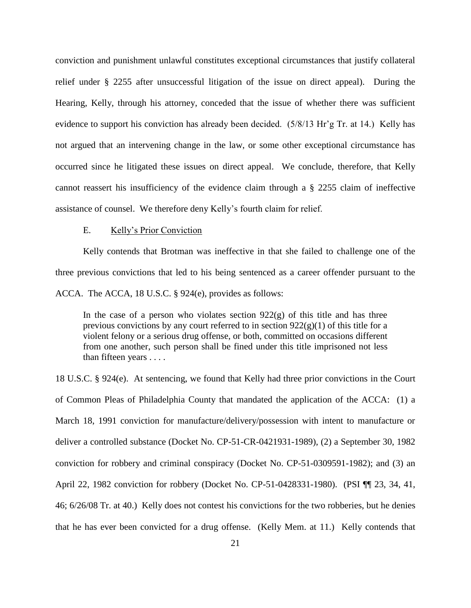conviction and punishment unlawful constitutes exceptional circumstances that justify collateral relief under § 2255 after unsuccessful litigation of the issue on direct appeal). During the Hearing, Kelly, through his attorney, conceded that the issue of whether there was sufficient evidence to support his conviction has already been decided. (5/8/13 Hr'g Tr. at 14.) Kelly has not argued that an intervening change in the law, or some other exceptional circumstance has occurred since he litigated these issues on direct appeal. We conclude, therefore, that Kelly cannot reassert his insufficiency of the evidence claim through a § 2255 claim of ineffective assistance of counsel. We therefore deny Kelly's fourth claim for relief.

### E. Kelly's Prior Conviction

Kelly contends that Brotman was ineffective in that she failed to challenge one of the three previous convictions that led to his being sentenced as a career offender pursuant to the ACCA. The ACCA, 18 U.S.C. § 924(e), provides as follows:

In the case of a person who violates section  $922(g)$  of this title and has three previous convictions by any court referred to in section  $922(g)(1)$  of this title for a violent felony or a serious drug offense, or both, committed on occasions different from one another, such person shall be fined under this title imprisoned not less than fifteen years . . . .

18 U.S.C. § 924(e). At sentencing, we found that Kelly had three prior convictions in the Court of Common Pleas of Philadelphia County that mandated the application of the ACCA: (1) a March 18, 1991 conviction for manufacture/delivery/possession with intent to manufacture or deliver a controlled substance (Docket No. CP-51-CR-0421931-1989), (2) a September 30, 1982 conviction for robbery and criminal conspiracy (Docket No. CP-51-0309591-1982); and (3) an April 22, 1982 conviction for robbery (Docket No. CP-51-0428331-1980). (PSI ¶¶ 23, 34, 41, 46; 6/26/08 Tr. at 40.) Kelly does not contest his convictions for the two robberies, but he denies that he has ever been convicted for a drug offense. (Kelly Mem. at 11.) Kelly contends that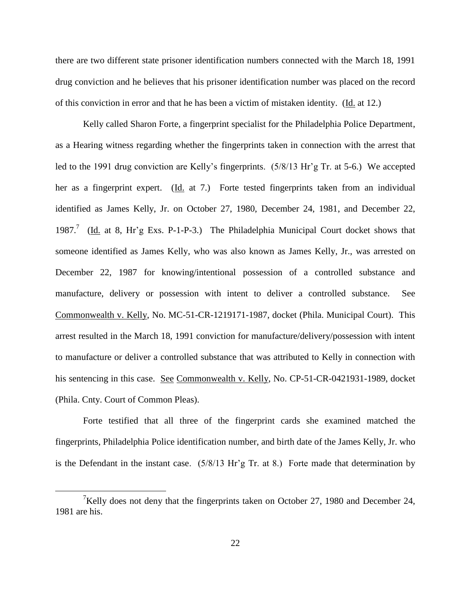there are two different state prisoner identification numbers connected with the March 18, 1991 drug conviction and he believes that his prisoner identification number was placed on the record of this conviction in error and that he has been a victim of mistaken identity. (Id. at 12.)

Kelly called Sharon Forte, a fingerprint specialist for the Philadelphia Police Department, as a Hearing witness regarding whether the fingerprints taken in connection with the arrest that led to the 1991 drug conviction are Kelly's fingerprints. (5/8/13 Hr'g Tr. at 5-6.) We accepted her as a fingerprint expert. (Id. at 7.) Forte tested fingerprints taken from an individual identified as James Kelly, Jr. on October 27, 1980, December 24, 1981, and December 22, 1987.<sup>7</sup> (Id. at 8, Hr'g Exs. P-1-P-3.) The Philadelphia Municipal Court docket shows that someone identified as James Kelly, who was also known as James Kelly, Jr., was arrested on December 22, 1987 for knowing/intentional possession of a controlled substance and manufacture, delivery or possession with intent to deliver a controlled substance. See Commonwealth v. Kelly, No. MC-51-CR-1219171-1987, docket (Phila. Municipal Court). This arrest resulted in the March 18, 1991 conviction for manufacture/delivery/possession with intent to manufacture or deliver a controlled substance that was attributed to Kelly in connection with his sentencing in this case. See Commonwealth v. Kelly, No. CP-51-CR-0421931-1989, docket (Phila. Cnty. Court of Common Pleas).

Forte testified that all three of the fingerprint cards she examined matched the fingerprints, Philadelphia Police identification number, and birth date of the James Kelly, Jr. who is the Defendant in the instant case. (5/8/13 Hr'g Tr. at 8.) Forte made that determination by

<sup>&</sup>lt;sup>7</sup>Kelly does not deny that the fingerprints taken on October 27, 1980 and December 24, 1981 are his.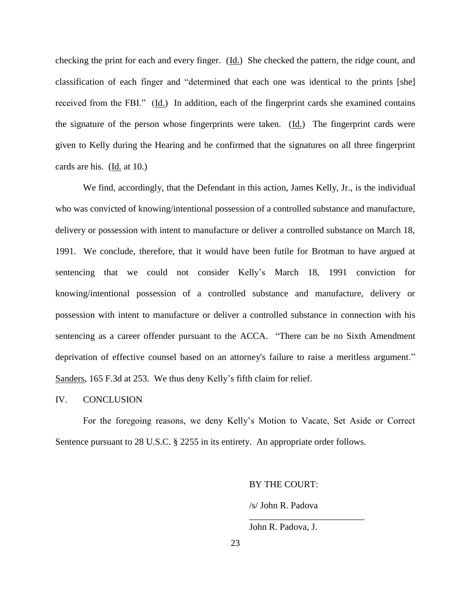checking the print for each and every finger. (Id.) She checked the pattern, the ridge count, and classification of each finger and "determined that each one was identical to the prints [she] received from the FBI." (Id.) In addition, each of the fingerprint cards she examined contains the signature of the person whose fingerprints were taken. (Id.) The fingerprint cards were given to Kelly during the Hearing and he confirmed that the signatures on all three fingerprint cards are his. (Id. at 10.)

We find, accordingly, that the Defendant in this action, James Kelly, Jr., is the individual who was convicted of knowing/intentional possession of a controlled substance and manufacture, delivery or possession with intent to manufacture or deliver a controlled substance on March 18, 1991. We conclude, therefore, that it would have been futile for Brotman to have argued at sentencing that we could not consider Kelly's March 18, 1991 conviction for knowing/intentional possession of a controlled substance and manufacture, delivery or possession with intent to manufacture or deliver a controlled substance in connection with his sentencing as a career offender pursuant to the ACCA. "There can be no Sixth Amendment deprivation of effective counsel based on an attorney's failure to raise a meritless argument." Sanders, 165 F.3d at 253. We thus deny Kelly's fifth claim for relief.

#### IV. CONCLUSION

For the foregoing reasons, we deny Kelly's Motion to Vacate, Set Aside or Correct Sentence pursuant to 28 U.S.C. § 2255 in its entirety. An appropriate order follows.

BY THE COURT:

/s/ John R. Padova

\_\_\_\_\_\_\_\_\_\_\_\_\_\_\_\_\_\_\_\_\_\_\_\_\_

John R. Padova, J.